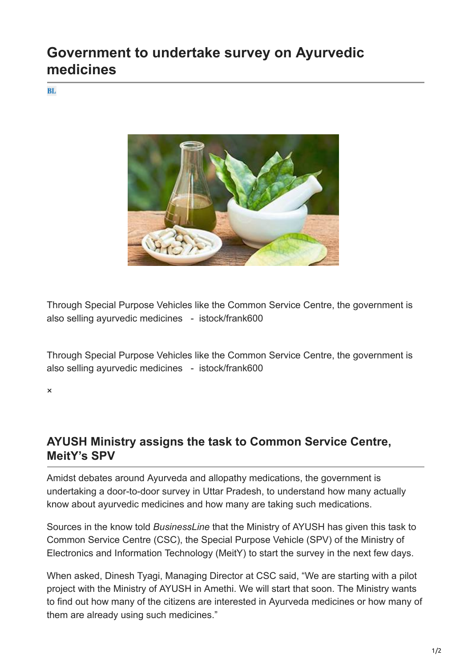## **Government to undertake survey on Ayurvedic medicines**

**BL** 



Through Special Purpose Vehicles like the Common Service Centre, the government is also selling ayurvedic medicines - istock/frank600

Through Special Purpose Vehicles like the Common Service Centre, the government is also selling ayurvedic medicines - istock/frank600

×

## **AYUSH Ministry assigns the task to Common Service Centre, MeitY's SPV**

Amidst debates around Ayurveda and allopathy medications, the government is undertaking a door-to-door survey in Uttar Pradesh, to understand how many actually know about ayurvedic medicines and how many are taking such medications.

Sources in the know told *BusinessLine* that the Ministry of AYUSH has given this task to Common Service Centre (CSC), the Special Purpose Vehicle (SPV) of the Ministry of Electronics and Information Technology (MeitY) to start the survey in the next few days.

When asked, Dinesh Tyagi, Managing Director at CSC said, "We are starting with a pilot project with the Ministry of AYUSH in Amethi. We will start that soon. The Ministry wants to find out how many of the citizens are interested in Ayurveda medicines or how many of them are already using such medicines."